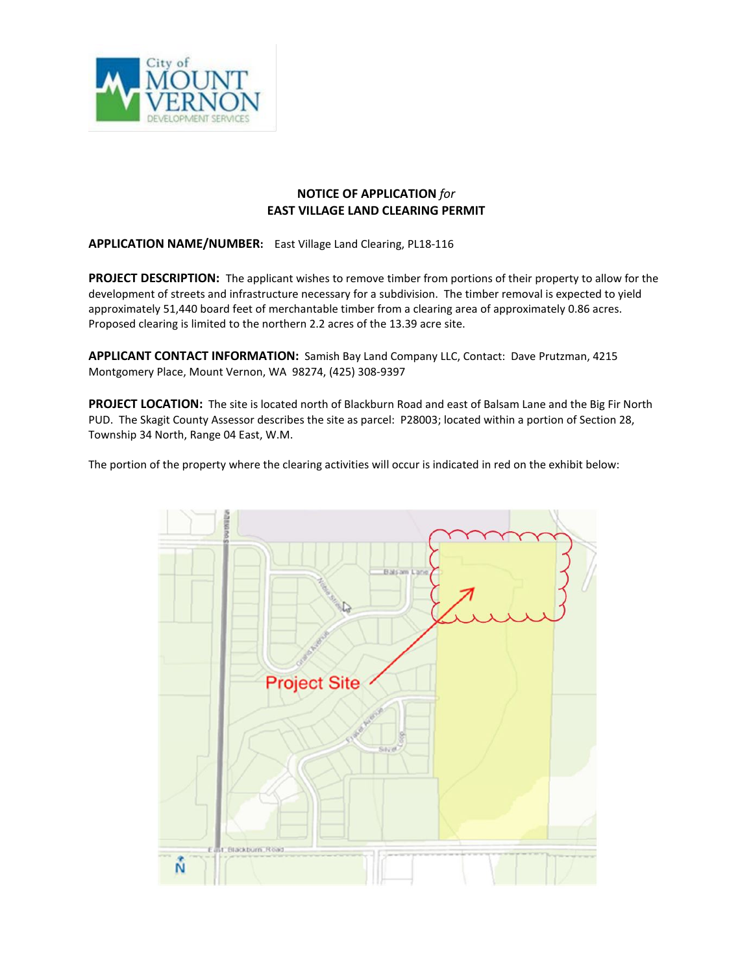

## **NOTICE OF APPLICATION** *for* **EAST VILLAGE LAND CLEARING PERMIT**

**APPLICATION NAME/NUMBER:** East Village Land Clearing, PL18-116

**PROJECT DESCRIPTION:** The applicant wishes to remove timber from portions of their property to allow for the development of streets and infrastructure necessary for a subdivision. The timber removal is expected to yield approximately 51,440 board feet of merchantable timber from a clearing area of approximately 0.86 acres. Proposed clearing is limited to the northern 2.2 acres of the 13.39 acre site.

**APPLICANT CONTACT INFORMATION:** Samish Bay Land Company LLC, Contact: Dave Prutzman, 4215 Montgomery Place, Mount Vernon, WA 98274, (425) 308-9397

**PROJECT LOCATION:** The site is located north of Blackburn Road and east of Balsam Lane and the Big Fir North PUD. The Skagit County Assessor describes the site as parcel: P28003; located within a portion of Section 28, Township 34 North, Range 04 East, W.M.

The portion of the property where the clearing activities will occur is indicated in red on the exhibit below: